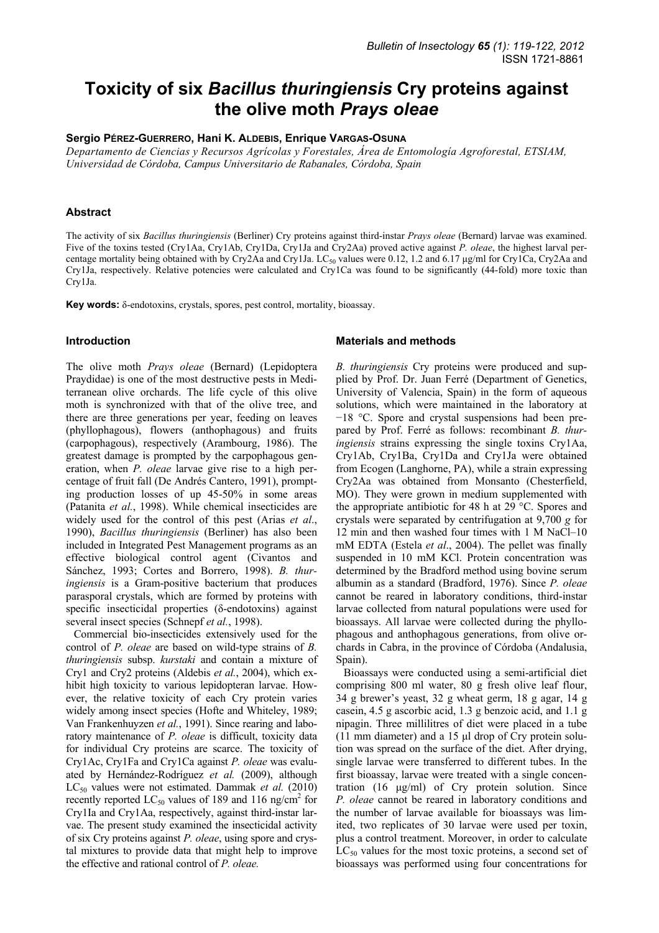# **Toxicity of six** *Bacillus thuringiensis* **Cry proteins against the olive moth** *Prays oleae*

**Sergio PÉREZ-GUERRERO, Hani K. ALDEBIS, Enrique VARGAS-OSUNA**

*Departamento de Ciencias y Recursos Agrícolas y Forestales, Área de Entomología Agroforestal, ETSIAM, Universidad de Córdoba, Campus Universitario de Rabanales, Córdoba, Spain* 

# **Abstract**

The activity of six *Bacillus thuringiensis* (Berliner) Cry proteins against third-instar *Prays oleae* (Bernard) larvae was examined. Five of the toxins tested (Cry1Aa, Cry1Ab, Cry1Da, Cry1Ja and Cry2Aa) proved active against *P. oleae*, the highest larval percentage mortality being obtained with by Cry2Aa and Cry1Ja. LC<sub>50</sub> values were 0.12, 1.2 and 6.17 µg/ml for Cry1Ca, Cry2Aa and Cry1Ja, respectively. Relative potencies were calculated and Cry1Ca was found to be significantly (44-fold) more toxic than Cry1Ja.

**Key words:** δ-endotoxins, crystals, spores, pest control, mortality, bioassay.

## **Introduction**

The olive moth *Prays oleae* (Bernard) (Lepidoptera Praydidae) is one of the most destructive pests in Mediterranean olive orchards. The life cycle of this olive moth is synchronized with that of the olive tree, and there are three generations per year, feeding on leaves (phyllophagous), flowers (anthophagous) and fruits (carpophagous), respectively (Arambourg, 1986). The greatest damage is prompted by the carpophagous generation, when *P. oleae* larvae give rise to a high percentage of fruit fall (De Andrés Cantero, 1991), prompting production losses of up 45-50% in some areas (Patanita *et al.*, 1998). While chemical insecticides are widely used for the control of this pest (Arias *et al*., 1990), *Bacillus thuringiensis* (Berliner) has also been included in Integrated Pest Management programs as an effective biological control agent (Civantos and Sánchez, 1993; Cortes and Borrero, 1998). *B. thuringiensis* is a Gram-positive bacterium that produces parasporal crystals, which are formed by proteins with specific insecticidal properties (δ-endotoxins) against several insect species (Schnepf *et al.*, 1998).

Commercial bio-insecticides extensively used for the control of *P. oleae* are based on wild-type strains of *B. thuringiensis* subsp. *kurstaki* and contain a mixture of Cry1 and Cry2 proteins (Aldebis *et al.*, 2004), which exhibit high toxicity to various lepidopteran larvae. However, the relative toxicity of each Cry protein varies widely among insect species (Hofte and Whiteley, 1989; Van Frankenhuyzen *et al.*, 1991). Since rearing and laboratory maintenance of *P. oleae* is difficult, toxicity data for individual Cry proteins are scarce. The toxicity of Cry1Ac, Cry1Fa and Cry1Ca against *P. oleae* was evaluated by Hernández-Rodríguez *et al.* (2009), although LC<sub>50</sub> values were not estimated. Dammak *et al.* (2010) recently reported  $LC_{50}$  values of 189 and 116 ng/cm<sup>2</sup> for Cry1Ia and Cry1Aa, respectively, against third-instar larvae. The present study examined the insecticidal activity of six Cry proteins against *P. oleae*, using spore and crystal mixtures to provide data that might help to improve the effective and rational control of *P. oleae.*

### **Materials and methods**

*B. thuringiensis* Cry proteins were produced and supplied by Prof. Dr. Juan Ferré (Department of Genetics, University of Valencia, Spain) in the form of aqueous solutions, which were maintained in the laboratory at −18 °C. Spore and crystal suspensions had been prepared by Prof. Ferré as follows: recombinant *B. thuringiensis* strains expressing the single toxins Cry1Aa, Cry1Ab, Cry1Ba, Cry1Da and Cry1Ja were obtained from Ecogen (Langhorne, PA), while a strain expressing Cry2Aa was obtained from Monsanto (Chesterfield, MO). They were grown in medium supplemented with the appropriate antibiotic for 48 h at 29 °C. Spores and crystals were separated by centrifugation at 9,700 *g* for 12 min and then washed four times with 1 M NaCl–10 mM EDTA (Estela *et al*., 2004). The pellet was finally suspended in 10 mM KCl. Protein concentration was determined by the Bradford method using bovine serum albumin as a standard (Bradford, 1976). Since *P. oleae* cannot be reared in laboratory conditions, third-instar larvae collected from natural populations were used for bioassays. All larvae were collected during the phyllophagous and anthophagous generations, from olive orchards in Cabra, in the province of Córdoba (Andalusia, Spain).

Bioassays were conducted using a semi-artificial diet comprising 800 ml water, 80 g fresh olive leaf flour, 34 g brewer's yeast, 32 g wheat germ, 18 g agar, 14 g casein, 4.5 g ascorbic acid, 1.3 g benzoic acid, and 1.1 g nipagin. Three millilitres of diet were placed in a tube (11 mm diameter) and a 15 µl drop of Cry protein solution was spread on the surface of the diet. After drying, single larvae were transferred to different tubes. In the first bioassay, larvae were treated with a single concentration (16 µg/ml) of Cry protein solution. Since *P. oleae* cannot be reared in laboratory conditions and the number of larvae available for bioassays was limited, two replicates of 30 larvae were used per toxin, plus a control treatment. Moreover, in order to calculate  $LC_{50}$  values for the most toxic proteins, a second set of bioassays was performed using four concentrations for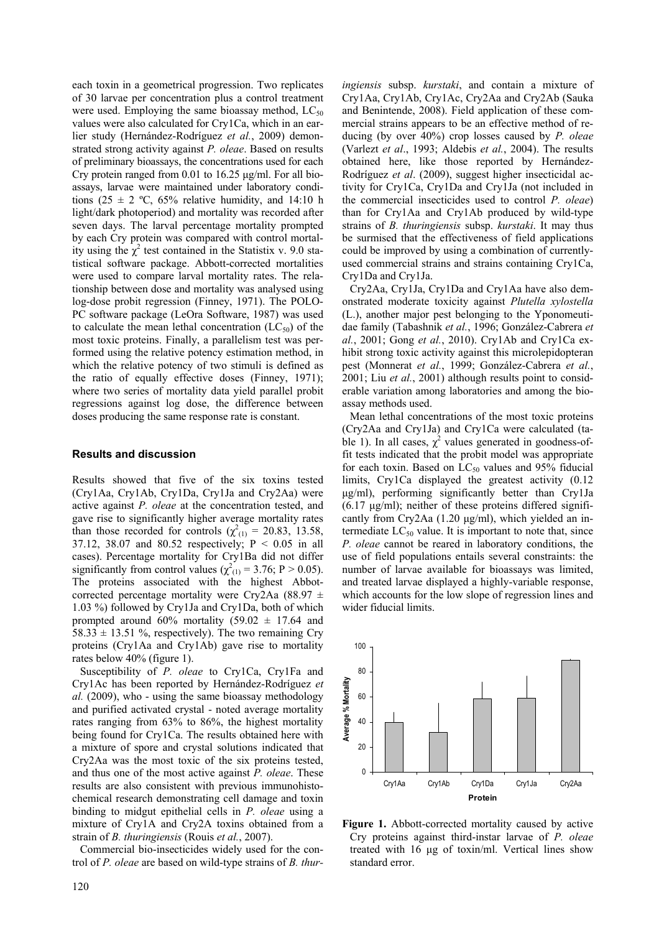each toxin in a geometrical progression. Two replicates of 30 larvae per concentration plus a control treatment were used. Employing the same bioassay method,  $LC_{50}$ values were also calculated for Cry1Ca, which in an earlier study (Hernández-Rodríguez *et al.*, 2009) demonstrated strong activity against *P. oleae*. Based on results of preliminary bioassays, the concentrations used for each Cry protein ranged from 0.01 to 16.25 µg/ml. For all bioassays, larvae were maintained under laboratory conditions (25  $\pm$  2 °C, 65% relative humidity, and 14:10 h light/dark photoperiod) and mortality was recorded after seven days. The larval percentage mortality prompted by each Cry protein was compared with control mortality using the  $\chi^2$  test contained in the Statistix v. 9.0 statistical software package. Abbott-corrected mortalities were used to compare larval mortality rates. The relationship between dose and mortality was analysed using log-dose probit regression (Finney, 1971). The POLO-PC software package (LeOra Software, 1987) was used to calculate the mean lethal concentration  $(LC_{50})$  of the most toxic proteins. Finally, a parallelism test was performed using the relative potency estimation method, in which the relative potency of two stimuli is defined as the ratio of equally effective doses (Finney, 1971); where two series of mortality data yield parallel probit regressions against log dose, the difference between doses producing the same response rate is constant.

### **Results and discussion**

Results showed that five of the six toxins tested (Cry1Aa, Cry1Ab, Cry1Da, Cry1Ja and Cry2Aa) were active against *P. oleae* at the concentration tested, and gave rise to significantly higher average mortality rates than those recorded for controls  $(\chi^2_{(1)} = 20.83, 13.58,$ 37.12, 38.07 and 80.52 respectively; P < 0.05 in all cases). Percentage mortality for Cry1Ba did not differ significantly from control values ( $\chi^2_{(1)} = 3.76$ ; P > 0.05). The proteins associated with the highest Abbotcorrected percentage mortality were Cry2Aa (88.97  $\pm$ 1.03 %) followed by Cry1Ja and Cry1Da, both of which prompted around 60% mortality (59.02  $\pm$  17.64 and  $58.33 \pm 13.51$  %, respectively). The two remaining Cry proteins (Cry1Aa and Cry1Ab) gave rise to mortality rates below 40% (figure 1).

Susceptibility of *P. oleae* to Cry1Ca, Cry1Fa and Cry1Ac has been reported by Hernández-Rodríguez *et al.* (2009), who - using the same bioassay methodology and purified activated crystal - noted average mortality rates ranging from 63% to 86%, the highest mortality being found for Cry1Ca. The results obtained here with a mixture of spore and crystal solutions indicated that Cry2Aa was the most toxic of the six proteins tested, and thus one of the most active against *P. oleae*. These results are also consistent with previous immunohistochemical research demonstrating cell damage and toxin binding to midgut epithelial cells in *P. oleae* using a mixture of Cry1A and Cry2A toxins obtained from a strain of *B. thuringiensis* (Rouis *et al.*, 2007).

Commercial bio-insecticides widely used for the control of *P. oleae* are based on wild-type strains of *B. thur-* *ingiensis* subsp. *kurstaki*, and contain a mixture of Cry1Aa, Cry1Ab, Cry1Ac, Cry2Aa and Cry2Ab (Sauka and Benintende, 2008). Field application of these commercial strains appears to be an effective method of reducing (by over 40%) crop losses caused by *P. oleae* (Varlezt *et al*., 1993; Aldebis *et al.*, 2004). The results obtained here, like those reported by Hernández-Rodríguez *et al*. (2009), suggest higher insecticidal activity for Cry1Ca, Cry1Da and Cry1Ja (not included in the commercial insecticides used to control *P. oleae*) than for Cry1Aa and Cry1Ab produced by wild-type strains of *B. thuringiensis* subsp. *kurstaki*. It may thus be surmised that the effectiveness of field applications could be improved by using a combination of currentlyused commercial strains and strains containing Cry1Ca, Cry1Da and Cry1Ja.

Cry2Aa, Cry1Ja, Cry1Da and Cry1Aa have also demonstrated moderate toxicity against *Plutella xylostella* (L.), another major pest belonging to the Yponomeutidae family (Tabashnik *et al.*, 1996; González-Cabrera *et al.*, 2001; Gong *et al.*, 2010). Cry1Ab and Cry1Ca exhibit strong toxic activity against this microlepidopteran pest (Monnerat *et al.*, 1999; González-Cabrera *et al.*, 2001; Liu *et al.*, 2001) although results point to considerable variation among laboratories and among the bioassay methods used.

Mean lethal concentrations of the most toxic proteins (Cry2Aa and Cry1Ja) and Cry1Ca were calculated (table 1). In all cases,  $\chi^2$  values generated in goodness-offit tests indicated that the probit model was appropriate for each toxin. Based on  $LC_{50}$  values and 95% fiducial limits, Cry1Ca displayed the greatest activity (0.12 µg/ml), performing significantly better than Cry1Ja  $(6.17 \text{ µg/ml})$ ; neither of these proteins differed significantly from Cry2Aa (1.20 µg/ml), which yielded an intermediate  $LC_{50}$  value. It is important to note that, since *P. oleae* cannot be reared in laboratory conditions, the use of field populations entails several constraints: the number of larvae available for bioassays was limited, and treated larvae displayed a highly-variable response, which accounts for the low slope of regression lines and wider fiducial limits.



**Figure 1.** Abbott-corrected mortality caused by active Cry proteins against third-instar larvae of *P. oleae*  treated with 16 µg of toxin/ml. Vertical lines show standard error.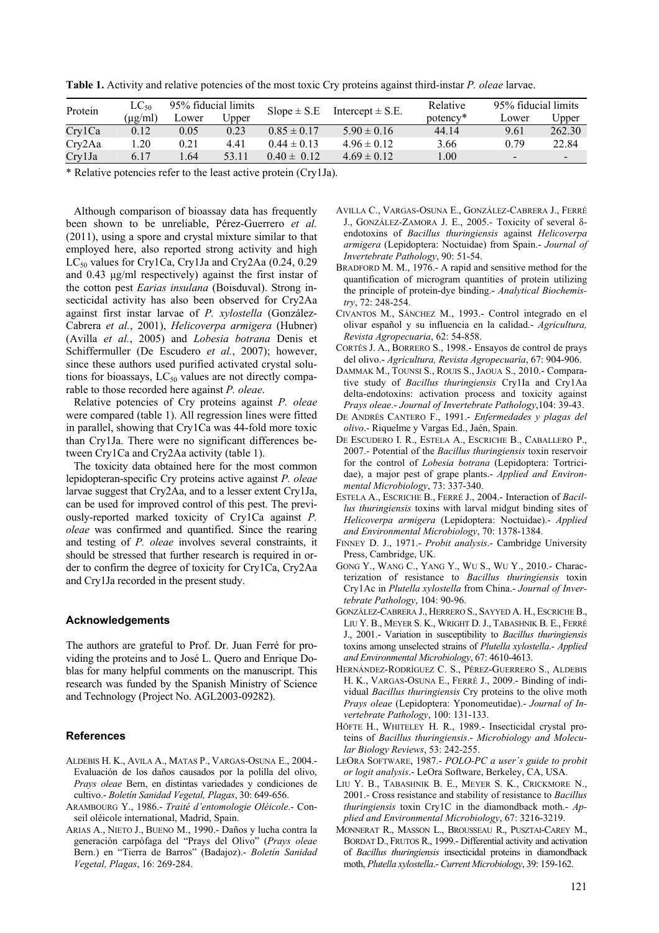**Table 1.** Activity and relative potencies of the most toxic Cry proteins against third-instar *P. oleae* larvae.

| Protein | $LC_{50}$   | 95% fiducial limits |       | $Slope \pm S.E$ | Intercept $\pm$ S.E. | Relative | 95% fiducial limits      |        |
|---------|-------------|---------------------|-------|-----------------|----------------------|----------|--------------------------|--------|
|         | $(\mu$ g/ml | Lower               | Jpper |                 |                      | potency* | Lower                    | Jpper  |
| Cry1Ca  | 0.12        | 0.05                | 0.23  | $0.85 \pm 0.17$ | $5.90 \pm 0.16$      | 44.14    | 9.61                     | 262.30 |
| Cry2Aa  | .20         | 0.21                | 4.41  | $0.44 \pm 0.13$ | $4.96 \pm 0.12$      | 3.66     | 0.79                     | 22.84  |
| Cry1Ja  | 6.17        | .64                 | 53.11 | $0.40 \pm 0.12$ | $4.69 \pm 0.12$      | 0.00     | $\overline{\phantom{a}}$ |        |

\* Relative potencies refer to the least active protein (Cry1Ja).

Although comparison of bioassay data has frequently been shown to be unreliable, Pérez-Guerrero *et al.* (2011), using a spore and crystal mixture similar to that employed here, also reported strong activity and high  $LC_{50}$  values for Cry1Ca, Cry1Ja and Cry2Aa (0.24, 0.29 and 0.43 µg/ml respectively) against the first instar of the cotton pest *Earias insulana* (Boisduval). Strong insecticidal activity has also been observed for Cry2Aa against first instar larvae of *P. xylostella* (González-Cabrera *et al.*, 2001), *Helicoverpa armigera* (Hubner) (Avilla *et al.*, 2005) and *Lobesia botrana* Denis et Schiffermuller (De Escudero *et al.*, 2007); however, since these authors used purified activated crystal solutions for bioassays,  $LC_{50}$  values are not directly comparable to those recorded here against *P. oleae*.

Relative potencies of Cry proteins against *P. oleae* were compared (table 1). All regression lines were fitted in parallel, showing that Cry1Ca was 44-fold more toxic than Cry1Ja. There were no significant differences between Cry1Ca and Cry2Aa activity (table 1).

The toxicity data obtained here for the most common lepidopteran-specific Cry proteins active against *P. oleae*  larvae suggest that Cry2Aa, and to a lesser extent Cry1Ja, can be used for improved control of this pest. The previously-reported marked toxicity of Cry1Ca against *P. oleae* was confirmed and quantified. Since the rearing and testing of *P. oleae* involves several constraints, it should be stressed that further research is required in order to confirm the degree of toxicity for Cry1Ca, Cry2Aa and Cry1Ja recorded in the present study.

#### **Acknowledgements**

The authors are grateful to Prof. Dr. Juan Ferré for providing the proteins and to José L. Quero and Enrique Doblas for many helpful comments on the manuscript. This research was funded by the Spanish Ministry of Science and Technology (Project No. AGL2003-09282).

#### **References**

- ALDEBIS H. K., AVILA A., MATAS P., VARGAS-OSUNA E., 2004.- Evaluación de los daños causados por la polilla del olivo, *Prays oleae* Bern, en distintas variedades y condiciones de cultivo.- *Boletín Sanidad Vegetal, Plagas*, 30: 649-656.
- ARAMBOURG Y., 1986.- *Traité d'entomologie Oléicole*.- Conseil oléicole international, Madrid, Spain.
- ARIAS A., NIETO J., BUENO M., 1990.- Daños y lucha contra la generación carpófaga del "Prays del Olivo" (*Prays oleae* Bern.) en "Tierra de Barros" (Badajoz).- *Boletín Sanidad Vegetal, Plagas*, 16: 269-284.
- AVILLA C., VARGAS-OSUNA E., GONZÁLEZ-CABRERA J., FERRÉ J., GONZÁLEZ-ZAMORA J. E., 2005.- Toxicity of several δendotoxins of *Bacillus thuringiensis* against *Helicoverpa armigera* (Lepidoptera: Noctuidae) from Spain.- *Journal of Invertebrate Pathology*, 90: 51-54.
- BRADFORD M. M., 1976.- A rapid and sensitive method for the quantification of microgram quantities of protein utilizing the principle of protein-dye binding.- *Analytical Biochemistry*, 72: 248-254.
- CIVANTOS M., SÁNCHEZ M., 1993.- Control integrado en el olivar español y su influencia en la calidad.- *Agricultura, Revista Agropecuaria*, 62: 54-858.
- CORTÉS J. A., BORRERO S., 1998.- Ensayos de control de prays del olivo.- *Agricultura, Revista Agropecuaria*, 67: 904-906.
- DAMMAK M., TOUNSI S., ROUIS S., JAOUA S., 2010.- Comparative study of *Bacillus thuringiensis* Cry1Ia and Cry1Aa delta-endotoxins: activation process and toxicity against *Prays oleae*.- *Journal of Invertebrate Pathology*,104: 39-43.
- DE ANDRÉS CANTERO F., 1991.- *Enfermedades y plagas del olivo*.- Riquelme y Vargas Ed., Jaén, Spain.
- DE ESCUDERO I. R., ESTELA A., ESCRICHE B., CABALLERO P., 2007.- Potential of the *Bacillus thuringiensis* toxin reservoir for the control of *Lobesia botrana* (Lepidoptera: Tortricidae), a major pest of grape plants.- *Applied and Environmental Microbiology*, 73: 337-340.
- ESTELA A., ESCRICHE B., FERRÉ J., 2004.- Interaction of *Bacillus thuringiensis* toxins with larval midgut binding sites of *Helicoverpa armigera* (Lepidoptera: Noctuidae).- *Applied and Environmental Microbiology*, 70: 1378-1384.
- FINNEY D. J., 1971.- *Probit analysis*.- Cambridge University Press, Cambridge, UK.
- GONG Y., WANG C., YANG Y., WU S., WU Y., 2010.- Characterization of resistance to *Bacillus thuringiensis* toxin Cry1Ac in *Plutella xylostella* from China.- *Journal of Invertebrate Pathology*, 104: 90-96.
- GONZÁLEZ-CABRERA J., HERRERO S., SAYYED A. H., ESCRICHE B., LIU Y. B., MEYER S. K., WRIGHT D. J., TABASHNIK B. E., FERRÉ J., 2001.- Variation in susceptibility to *Bacillus thuringiensis* toxins among unselected strains of *Plutella xylostella*.- *Applied and Environmental Microbiology*, 67: 4610-4613.
- HERNÁNDEZ-RODRÍGUEZ C. S., PÉREZ-GUERRERO S., ALDEBIS H. K., VARGAS-OSUNA E., FERRÉ J., 2009.- Binding of individual *Bacillus thuringiensis* Cry proteins to the olive moth *Prays oleae* (Lepidoptera: Yponomeutidae).- *Journal of Invertebrate Pathology*, 100: 131-133.
- HÖFTE H., WHITELEY H. R., 1989.- Insecticidal crystal proteins of *Bacillus thuringiensis*.- *Microbiology and Molecular Biology Reviews*, 53: 242-255.
- LEORA SOFTWARE, 1987.- *POLO-PC a user´s guide to probit or logit analysis*.- LeOra Software, Berkeley, CA, USA.
- LIU Y. B., TABASHNIK B. E., MEYER S. K., CRICKMORE N., 2001.- Cross resistance and stability of resistance to *Bacillus thuringiensis* toxin Cry1C in the diamondback moth.- *Applied and Environmental Microbiology*, 67: 3216-3219.
- MONNERAT R., MASSON L., BROUSSEAU R., PUSZTAI-CAREY M., BORDAT D., FRUTOS R., 1999.- Differential activity and activation of *Bacillus thuringiensis* insecticidal proteins in diamondback moth, *Plutella xylostella*.- *Current Microbiology*, 39: 159-162.